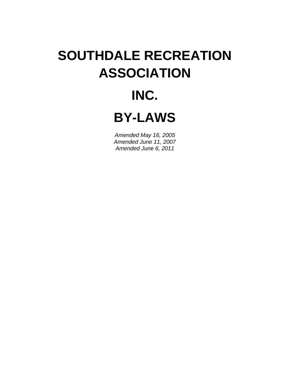# **SOUTHDALE RECREATION ASSOCIATION**

## **INC.**

**BY-LAWS** 

*Amended May 16, 2005 Amended June 11, 2007 Amended June 6, 2011*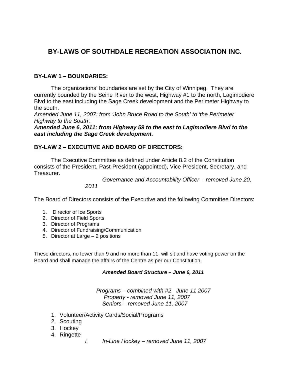## **BY-LAWS OF SOUTHDALE RECREATION ASSOCIATION INC.**

## **BY-LAW 1 – BOUNDARIES:**

 The organizations' boundaries are set by the City of Winnipeg. They are currently bounded by the Seine River to the west, Highway #1 to the north, Lagimodiere Blvd to the east including the Sage Creek development and the Perimeter Highway to the south.

*Amended June 11, 2007: from 'John Bruce Road to the South' to 'the Perimeter Highway to the South'.* 

*Amended June 6, 2011: from Highway 59 to the east to Lagimodiere Blvd to the east including the Sage Creek development.* 

#### **BY-LAW 2 – EXECUTIVE AND BOARD OF DIRECTORS:**

 The Executive Committee as defined under Article 8.2 of the Constitution consists of the President, Past-President (appointed), Vice President, Secretary, and Treasurer.

> *Governance and Accountability Officer - removed June 20, 2011*

The Board of Directors consists of the Executive and the following Committee Directors:

- 1. Director of Ice Sports
- 2. Director of Field Sports
- 3. Director of Programs
- 4. Director of Fundraising/Communication
- 5. Director at Large 2 positions

These directors, no fewer than 9 and no more than 11, will sit and have voting power on the Board and shall manage the affairs of the Centre as per our Constitution.

#### *Amended Board Structure – June 6, 2011*

*Programs – combined with #2 June 11 2007 Property - removed June 11, 2007 Seniors – removed June 11, 2007* 

- 1. Volunteer/Activity Cards/Social/Programs
- 2. Scouting
- 3. Hockey
- 4. Ringette
- *i. In-Line Hockey removed June 11, 2007*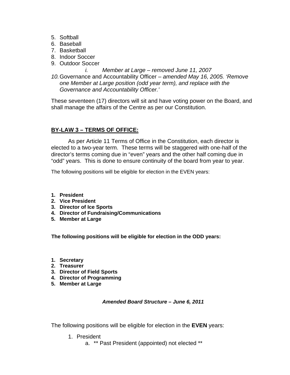- 5. Softball
- 6. Baseball
- 7. Basketball
- 8. Indoor Soccer
- 9. Outdoor Soccer
	- *i. Member at Large removed June 11, 2007*
- *10.* Governance and Accountability Officer *amended May 16, 2005. 'Remove one Member at Large position (odd year term), and replace with the Governance and Accountability Officer.'*

These seventeen (17) directors will sit and have voting power on the Board, and shall manage the affairs of the Centre as per our Constitution.

## **BY-LAW 3 – TERMS OF OFFICE:**

 As per Article 11 Terms of Office in the Constitution, each director is elected to a two-year term. These terms will be staggered with one-half of the director's terms coming due in "even" years and the other half coming due in "odd" years. This is done to ensure continuity of the board from year to year.

The following positions will be eligible for election in the EVEN years:

- **1. President**
- **2. Vice President**
- **3. Director of Ice Sports**
- **4. Director of Fundraising/Communications**
- **5. Member at Large**

 **The following positions will be eligible for election in the ODD years:** 

- **1. Secretary**
- **2. Treasurer**
- **3. Director of Field Sports**
- **4. Director of Programming**
- **5. Member at Large**

#### *Amended Board Structure – June 6, 2011*

The following positions will be eligible for election in the **EVEN** years:

- 1. President
	- a. \*\* Past President (appointed) not elected \*\*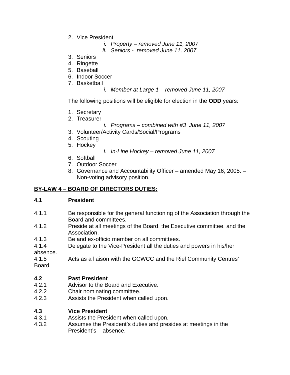- 2. Vice President
	- *i. Property removed June 11, 2007*
	- *ii. Seniors removed June 11, 2007*
- 3. Seniors
- 4. Ringette
- 5. Baseball
- 6. Indoor Soccer
- 7. Basketball
	- *i. Member at Large 1 removed June 11, 2007*

The following positions will be eligible for election in the **ODD** years:

- 1. Secretary
- 2. Treasurer
	- *i. Programs combined with #3 June 11, 2007*
- 3. Volunteer/Activity Cards/Social/Programs
- 4. Scouting
- 5. Hockey
- *i. In-Line Hockey removed June 11, 2007*
- 6. Softball
- 7. Outdoor Soccer
- 8. Governance and Accountability Officer amended May 16, 2005. Non-voting advisory position.

## **BY-LAW 4 – BOARD OF DIRECTORS DUTIES:**

#### **4.1 President**

- 4.1.1 Be responsible for the general functioning of the Association through the Board and committees.
- 4.1.2 Preside at all meetings of the Board, the Executive committee, and the Association.
- 4.1.3 Be and ex-officio member on all committees.
- 4.1.4 Delegate to the Vice-President all the duties and powers in his/her absence.<br> $4.1.5$

Acts as a liaison with the GCWCC and the Riel Community Centres' Board.

#### **4.2 Past President**

- 4.2.1 Advisor to the Board and Executive.
- 4.2.2 Chair nominating committee.
- 4.2.3 Assists the President when called upon.

#### **4.3 Vice President**

- 4.3.1 Assists the President when called upon.
- 4.3.2 Assumes the President's duties and presides at meetings in the President's absence.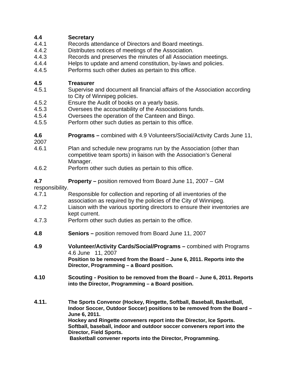## **4.4 Secretary**

- 4.4.1 Records attendance of Directors and Board meetings.
- 4.4.2 Distributes notices of meetings of the Association.
- 4.4.3 Records and preserves the minutes of all Association meetings.
- 4.4.4 Helps to update and amend constitution, by-laws and policies.
- 4.4.5 Performs such other duties as pertain to this office.

## **4.5 Treasurer**

- 4.5.1 Supervise and document all financial affairs of the Association according to City of Winnipeg policies.
- 4.5.2 Ensure the Audit of books on a yearly basis.
- 4.5.3 Oversees the accountability of the Associations funds.
- 4.5.4 Oversees the operation of the Canteen and Bingo.
- 4.5.5 Perform other such duties as pertain to this office.
- **4.6 Programs** combined with 4.9 Volunteers/Social/Activity Cards June 11,
- 2007
- 4.6.1 Plan and schedule new programs run by the Association (other than competitive team sports) in liaison with the Association's General Manager.
- 4.6.2 Perform other such duties as pertain to this office.

## **4.7 Property –** position removed from Board June 11, 2007 – GM

responsibility.

- 4.7.1 Responsible for collection and reporting of all inventories of the association as required by the policies of the City of Winnipeg.
- 4.7.2 Liaison with the various sporting directors to ensure their inventories are kept current.
- 4.7.3 Perform other such duties as pertain to the office.
- **4.8 Seniors** position removed from Board June 11, 2007
- **4.9 Volunteer/Activity Cards/Social/Programs** combined with Programs 4.6 June 11, 2007 **Position to be removed from the Board – June 6, 2011. Reports into the Director, Programming – a Board position.**
- **4.10 Scouting Position to be removed from the Board June 6, 2011. Reports into the Director, Programming – a Board position.**
- **4.11. The Sports Convenor (Hockey, Ringette, Softball, Baseball, Basketball, Indoor Soccer, Outdoor Soccer) positions to be removed from the Board – June 6, 2011. Hockey and Ringette conveners report into the Director, Ice Sports. Softball, baseball, indoor and outdoor soccer conveners report into the Director, Field Sports.**

**Basketball convener reports into the Director, Programming.**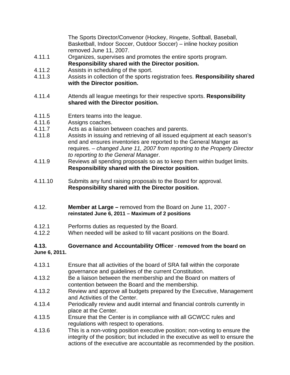The Sports Director/Convenor (Hockey, Ringette, Softball, Baseball, Basketball, Indoor Soccer, Outdoor Soccer) – inline hockey position removed June 11, 2007.

- 4.11.1 Organizes, supervises and promotes the entire sports program. **Responsibility shared with the Director position.**
- 4.11.2 Assists in scheduling of the sport.
- 4.11.3 Assists in collection of the sports registration fees. **Responsibility shared with the Director position.**
- 4.11.4 Attends all league meetings for their respective sports. **Responsibility shared with the Director position.**
- 4.11.5 Enters teams into the league.
- 4.11.6 Assigns coaches.
- 4.11.7 Acts as a liaison between coaches and parents.
- 4.11.8 Assists in issuing and retrieving of all issued equipment at each season's end and ensures inventories are reported to the General Manger as requires. – *changed June 11, 2007 from reporting to the Property Director to reporting to the General Manager*.
- 4.11.9 Reviews all spending proposals so as to keep them within budget limits. **Responsibility shared with the Director position.**
- 4.11.10 Submits any fund raising proposals to the Board for approval. **Responsibility shared with the Director position.**
- 4.12. **Member at Large** removed from the Board on June 11, 2007 **reinstated June 6, 2011 – Maximum of 2 positions**
- 4.12.1 Performs duties as requested by the Board.
- 4.12.2 When needed will be asked to fill vacant positions on the Board.

#### **4.13. Governance and Accountability Officer** - **removed from the board on June 6, 2011.**

- 4.13.1 Ensure that all activities of the board of SRA fall within the corporate governance and guidelines of the current Constitution.
- 4.13.2 Be a liaison between the membership and the Board on matters of contention between the Board and the membership.
- 4.13.2 Review and approve all budgets prepared by the Executive, Management and Activities of the Center.
- 4.13.4 Periodically review and audit internal and financial controls currently in place at the Center.
- 4.13.5 Ensure that the Center is in compliance with all GCWCC rules and regulations with respect to operations.
- 4.13.6 This is a non-voting position executive position; non-voting to ensure the integrity of the position; but included in the executive as well to ensure the actions of the executive are accountable as recommended by the position.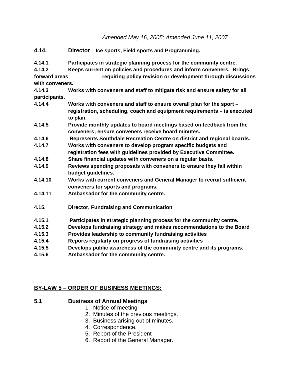*Amended May 16, 2005; Amended June 11, 2007* 

- **4.14. Director Ice sports, Field sports and Programming. 4.14.1 Participates in strategic planning process for the community centre. 4.14.2 Keeps current on policies and procedures and inform conveners. Brings forward areas requiring policy revision or development through discussions with conveners. 4.14.3 Works with conveners and staff to mitigate risk and ensure safety for all participants. 4.14.4 Works with conveners and staff to ensure overall plan for the sport – registration, scheduling, coach and equipment requirements – is executed to plan. 4.14.5 Provide monthly updates to board meetings based on feedback from the conveners; ensure conveners receive board minutes. 4.14.6 Represents Southdale Recreation Centre on district and regional boards. 4.14.7 Works with conveners to develop program specific budgets and registration fees with guidelines provided by Executive Committee. 4.14.8 Share financial updates with conveners on a regular basis. 4.14.9 Reviews spending proposals with conveners to ensure they fall within budget guidelines. 4.14.10 Works with current conveners and General Manager to recruit sufficient conveners for sports and programs. 4.14.11 Ambassador for the community centre. 4.15. Director, Fundraising and Communication 4.15.1 Participates in strategic planning process for the community centre. 4.15.2 Develops fundraising strategy and makes recommendations to the Board 4.15.3 Provides leadership to community fundraising activities 4.15.4 Reports regularly on progress of fundraising activities**
- **4.15.5 Develops public awareness of the community centre and its programs.**
- **4.15.6 Ambassador for the community centre.**

## **BY-LAW 5 – ORDER OF BUSINESS MEETINGS:**

#### **5.1 Business of Annual Meetings**

- 1. Notice of meeting
- 2. Minutes of the previous meetings.
- 3. Business arising out of minutes.
- 4. Correspondence.
- 5. Report of the President
- 6. Report of the General Manager.